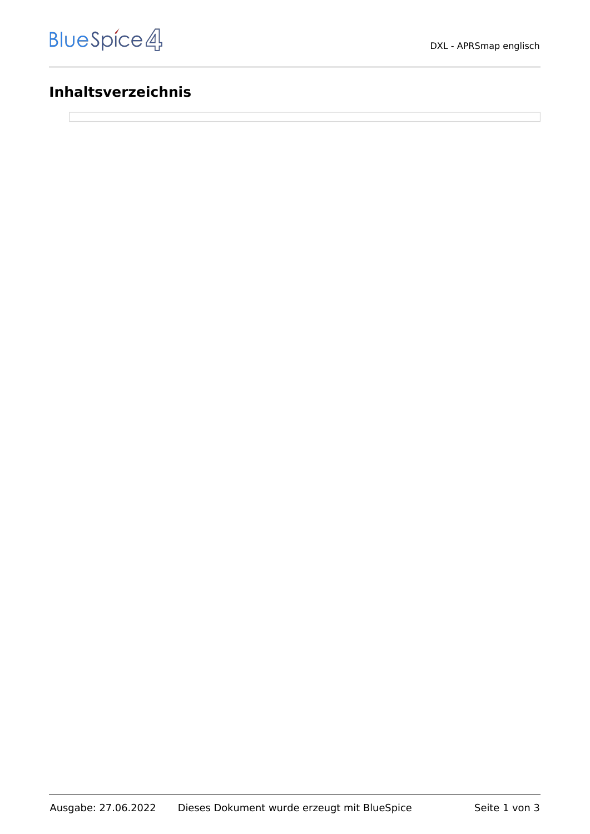# **Inhaltsverzeichnis**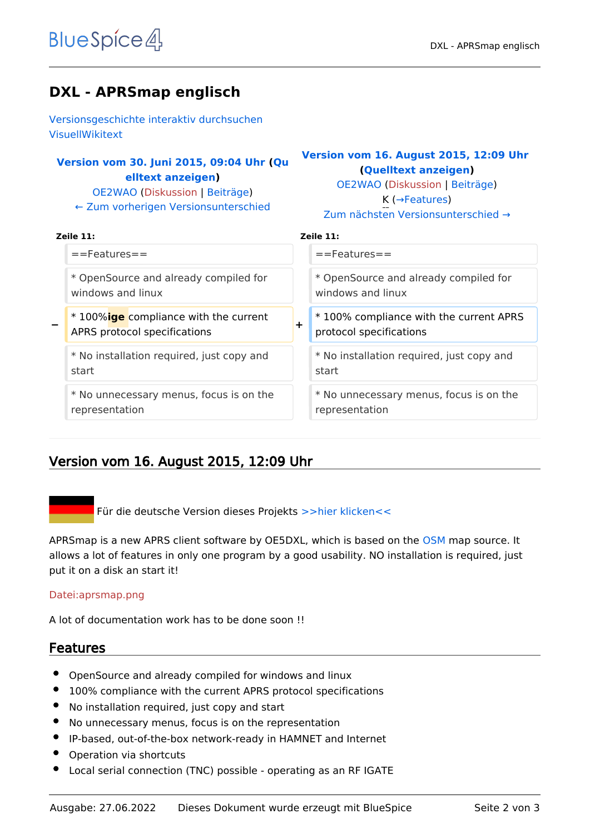# **DXL - APRSmap englisch**

[Versionsgeschichte interaktiv durchsuchen](https://wiki.oevsv.at) [VisuellWikitext](https://wiki.oevsv.at)

## **[Version vom 30. Juni 2015, 09:04 Uhr](https://wiki.oevsv.at/w/index.php?title=DXL_-_APRSmap_englisch&oldid=13671) ([Qu](https://wiki.oevsv.at/w/index.php?title=DXL_-_APRSmap_englisch&action=edit&oldid=13671) [elltext anzeigen\)](https://wiki.oevsv.at/w/index.php?title=DXL_-_APRSmap_englisch&action=edit&oldid=13671)**

[OE2WAO](https://wiki.oevsv.at/wiki/Benutzer:OE2WAO) ([Diskussion](https://wiki.oevsv.at/w/index.php?title=Benutzer_Diskussion:OE2WAO&action=view) | [Beiträge](https://wiki.oevsv.at/wiki/Spezial:Beitr%C3%A4ge/OE2WAO)) [← Zum vorherigen Versionsunterschied](https://wiki.oevsv.at/w/index.php?title=DXL_-_APRSmap_englisch&diff=prev&oldid=13671)

## **[Version vom 16. August 2015, 12:09 Uhr](https://wiki.oevsv.at/w/index.php?title=DXL_-_APRSmap_englisch&oldid=13728) ([Quelltext anzeigen](https://wiki.oevsv.at/w/index.php?title=DXL_-_APRSmap_englisch&action=edit&oldid=13728))**

[OE2WAO](https://wiki.oevsv.at/wiki/Benutzer:OE2WAO) [\(Diskussion](https://wiki.oevsv.at/w/index.php?title=Benutzer_Diskussion:OE2WAO&action=view) | [Beiträge\)](https://wiki.oevsv.at/wiki/Spezial:Beitr%C3%A4ge/OE2WAO) K (→Features)

| Zum nächsten Versionsunterschied $\rightarrow$ |
|------------------------------------------------|
|                                                |

| н<br>×<br>×<br>۰. | ۰. | ۰ |
|-------------------|----|---|
|                   |    |   |

| Zeile 11:                                 | Zeile 11:                                 |  |
|-------------------------------------------|-------------------------------------------|--|
| $=$ Features $=$                          | $=$ Features $=$                          |  |
| * OpenSource and already compiled for     | * OpenSource and already compiled for     |  |
| windows and linux                         | windows and linux                         |  |
| * 100%lge compliance with the current     | *100% compliance with the current APRS    |  |
| -                                         | $\div$                                    |  |
| APRS protocol specifications              | protocol specifications                   |  |
| * No installation required, just copy and | * No installation required, just copy and |  |
| start                                     | start                                     |  |
| * No unnecessary menus, focus is on the   | * No unnecessary menus, focus is on the   |  |
| representation                            | representation                            |  |

# Version vom 16. August 2015, 12:09 Uhr

Für die deutsche Version dieses Projekts [>>hier klicken<<](https://wiki.oevsv.at/wiki/DXL_-_APRSmap)

APRSmap is a new APRS client software by OE5DXL, which is based on the [OSM](http://www.osm.org) map source. It allows a lot of features in only one program by a good usability. NO installation is required, just put it on a disk an start it!

#### [Datei:aprsmap.png](https://wiki.oevsv.at/w/index.php?title=Spezial:Hochladen&wpDestFile=aprsmap.png)

A lot of documentation work has to be done soon !!

# Features

- OpenSource and already compiled for windows and linux
- 100% compliance with the current APRS protocol specifications
- No installation required, just copy and start
- No unnecessary menus, focus is on the representation
- IP-based, out-of-the-box network-ready in HAMNET and Internet
- Operation via shortcuts
- Local serial connection (TNC) possible operating as an RF IGATE